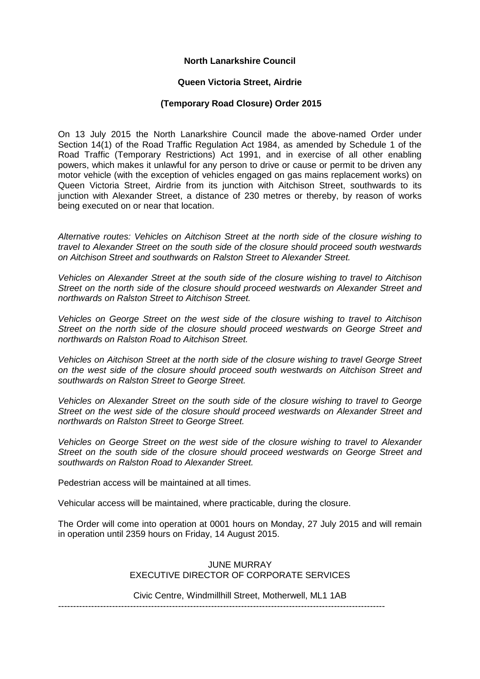## **North Lanarkshire Council**

#### **Queen Victoria Street, Airdrie**

## **(Temporary Road Closure) Order 2015**

On 13 July 2015 the North Lanarkshire Council made the above-named Order under Section 14(1) of the Road Traffic Regulation Act 1984, as amended by Schedule 1 of the Road Traffic (Temporary Restrictions) Act 1991, and in exercise of all other enabling powers, which makes it unlawful for any person to drive or cause or permit to be driven any motor vehicle (with the exception of vehicles engaged on gas mains replacement works) on Queen Victoria Street, Airdrie from its junction with Aitchison Street, southwards to its junction with Alexander Street, a distance of 230 metres or thereby, by reason of works being executed on or near that location.

*Alternative routes: Vehicles on Aitchison Street at the north side of the closure wishing to travel to Alexander Street on the south side of the closure should proceed south westwards on Aitchison Street and southwards on Ralston Street to Alexander Street.*

*Vehicles on Alexander Street at the south side of the closure wishing to travel to Aitchison Street on the north side of the closure should proceed westwards on Alexander Street and northwards on Ralston Street to Aitchison Street.*

*Vehicles on George Street on the west side of the closure wishing to travel to Aitchison Street on the north side of the closure should proceed westwards on George Street and northwards on Ralston Road to Aitchison Street.*

*Vehicles on Aitchison Street at the north side of the closure wishing to travel George Street on the west side of the closure should proceed south westwards on Aitchison Street and southwards on Ralston Street to George Street.*

*Vehicles on Alexander Street on the south side of the closure wishing to travel to George Street on the west side of the closure should proceed westwards on Alexander Street and northwards on Ralston Street to George Street.*

*Vehicles on George Street on the west side of the closure wishing to travel to Alexander Street on the south side of the closure should proceed westwards on George Street and southwards on Ralston Road to Alexander Street.*

Pedestrian access will be maintained at all times.

Vehicular access will be maintained, where practicable, during the closure.

The Order will come into operation at 0001 hours on Monday, 27 July 2015 and will remain in operation until 2359 hours on Friday, 14 August 2015.

# JUNE MURRAY EXECUTIVE DIRECTOR OF CORPORATE SERVICES

Civic Centre, Windmillhill Street, Motherwell, ML1 1AB

-------------------------------------------------------------------------------------------------------------